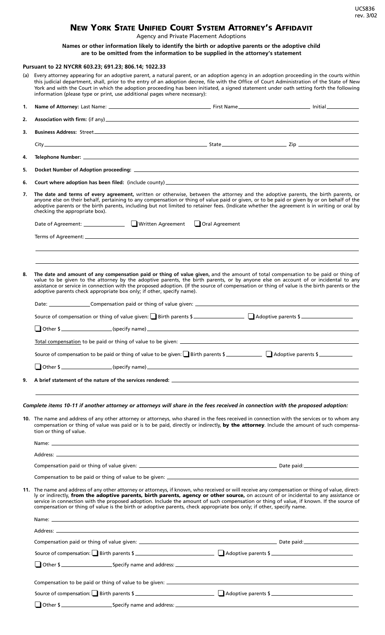## NEW YORK STATE UNIFIED COURT SYSTEM ATTORNEY'S AFFIDAVIT

Agency and Private Placement Adoptions

**Names or other information likely to identify the birth or adoptive parents or the adoptive child are to be omitted from the information to be supplied in the attorney's statement**

|    | (a) Every attorney appearing for an adoptive parent, a natural parent, or an adoption agency in an adoption proceeding in the courts within<br>this judicial department, shall, prior to the entry of an adoption decree, file with the Office of Court Administration of the State of New<br>York and with the Court in which the adoption proceeding has been initiated, a signed statement under oath setting forth the following<br>information (please type or print, use additional pages where necessary):                                          |  |  |
|----|------------------------------------------------------------------------------------------------------------------------------------------------------------------------------------------------------------------------------------------------------------------------------------------------------------------------------------------------------------------------------------------------------------------------------------------------------------------------------------------------------------------------------------------------------------|--|--|
| 1. |                                                                                                                                                                                                                                                                                                                                                                                                                                                                                                                                                            |  |  |
| 2. |                                                                                                                                                                                                                                                                                                                                                                                                                                                                                                                                                            |  |  |
| 3. |                                                                                                                                                                                                                                                                                                                                                                                                                                                                                                                                                            |  |  |
|    |                                                                                                                                                                                                                                                                                                                                                                                                                                                                                                                                                            |  |  |
| 4. |                                                                                                                                                                                                                                                                                                                                                                                                                                                                                                                                                            |  |  |
| 5. |                                                                                                                                                                                                                                                                                                                                                                                                                                                                                                                                                            |  |  |
| 6. |                                                                                                                                                                                                                                                                                                                                                                                                                                                                                                                                                            |  |  |
| 7. | The date and terms of every agreement, written or otherwise, between the attorney and the adoptive parents, the birth parents, or<br>anyone else on their behalf, pertaining to any compensation or thing of value paid or given, or to be paid or given by or on behalf of the<br>adoptive parents or the birth parents, including but not limited to retainer fees. (Indicate whether the agreement is in writing or oral by<br>checking the appropriate box).                                                                                           |  |  |
|    |                                                                                                                                                                                                                                                                                                                                                                                                                                                                                                                                                            |  |  |
|    |                                                                                                                                                                                                                                                                                                                                                                                                                                                                                                                                                            |  |  |
|    |                                                                                                                                                                                                                                                                                                                                                                                                                                                                                                                                                            |  |  |
| 8. | The date and amount of any compensation paid or thing of value given, and the amount of total compensation to be paid or thing of<br>value to be given to the attorney by the adoptive parents, the birth parents, or by anyone else on account of or incidental to any<br>assistance or service in connection with the proposed adoption. (If the source of compensation or thing of value is the birth parents or the<br>adoptive parents check appropriate box only; if other, specify name).                                                           |  |  |
|    |                                                                                                                                                                                                                                                                                                                                                                                                                                                                                                                                                            |  |  |
|    | Source of compensation or thing of value given: Birth parents \$                                                                                                                                                                                                                                                                                                                                                                                                                                                                                           |  |  |
|    |                                                                                                                                                                                                                                                                                                                                                                                                                                                                                                                                                            |  |  |
|    |                                                                                                                                                                                                                                                                                                                                                                                                                                                                                                                                                            |  |  |
|    | Source of compensation to be paid or thing of value to be given: $\Box$ Birth parents \$                                                                                                                                                                                                                                                                                                                                                                                                                                                                   |  |  |
|    |                                                                                                                                                                                                                                                                                                                                                                                                                                                                                                                                                            |  |  |
| 9. |                                                                                                                                                                                                                                                                                                                                                                                                                                                                                                                                                            |  |  |
|    |                                                                                                                                                                                                                                                                                                                                                                                                                                                                                                                                                            |  |  |
|    | Complete items 10-11 if another attorney or attorneys will share in the fees received in connection with the proposed adoption:<br>10. The name and address of any other attorney or attorneys, who shared in the fees received in connection with the services or to whom any<br>compensation or thing of value was paid or is to be paid, directly or indirectly, by the attorney. Include the amount of such compensa-<br>tion or thing of value.                                                                                                       |  |  |
|    |                                                                                                                                                                                                                                                                                                                                                                                                                                                                                                                                                            |  |  |
|    |                                                                                                                                                                                                                                                                                                                                                                                                                                                                                                                                                            |  |  |
|    |                                                                                                                                                                                                                                                                                                                                                                                                                                                                                                                                                            |  |  |
|    |                                                                                                                                                                                                                                                                                                                                                                                                                                                                                                                                                            |  |  |
|    | 11. The name and address of any other attorney or attorneys, if known, who received or will receive any compensation or thing of value, direct-<br>ly or indirectly, from the adoptive parents, birth parents, agency or other source, on account of or incidental to any assistance or<br>service in connection with the proposed adoption. Include the amount of such compensation or thing of value, if known. If the source of<br>compensation or thing of value is the birth or adoptive parents, check appropriate box only; if other, specify name. |  |  |
|    |                                                                                                                                                                                                                                                                                                                                                                                                                                                                                                                                                            |  |  |
|    |                                                                                                                                                                                                                                                                                                                                                                                                                                                                                                                                                            |  |  |
|    |                                                                                                                                                                                                                                                                                                                                                                                                                                                                                                                                                            |  |  |
|    | Source of compensation: $\Box$ Birth parents \$                                                                                                                                                                                                                                                                                                                                                                                                                                                                                                            |  |  |
|    |                                                                                                                                                                                                                                                                                                                                                                                                                                                                                                                                                            |  |  |
|    |                                                                                                                                                                                                                                                                                                                                                                                                                                                                                                                                                            |  |  |
|    |                                                                                                                                                                                                                                                                                                                                                                                                                                                                                                                                                            |  |  |

q Other \$ Specify name and address: